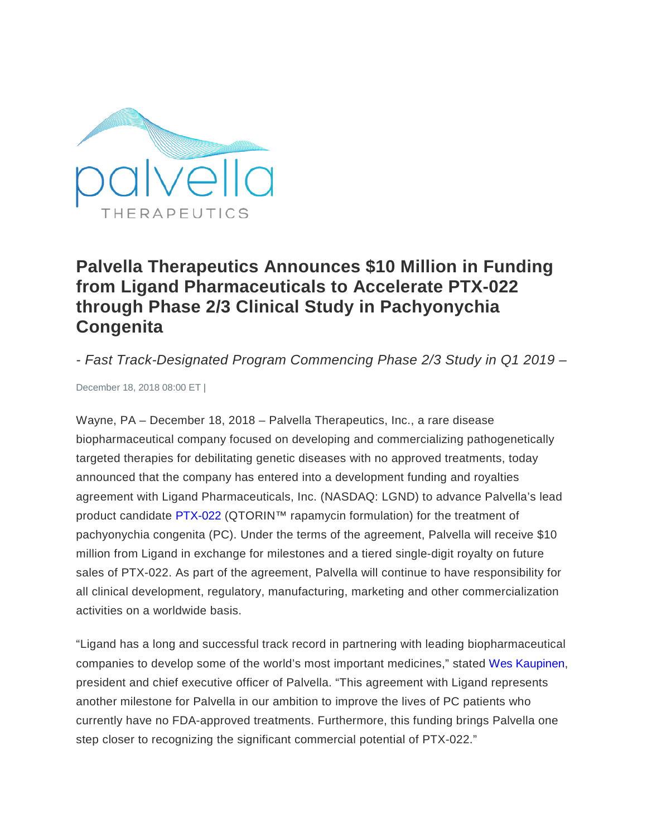

# **Palvella Therapeutics Announces \$10 Million in Funding from Ligand Pharmaceuticals to Accelerate PTX-022 through Phase 2/3 Clinical Study in Pachyonychia Congenita**

*- Fast Track-Designated Program Commencing Phase 2/3 Study in Q1 2019 –*

December 18, 2018 08:00 ET |

Wayne, PA – December 18, 2018 – Palvella Therapeutics, Inc., a rare disease biopharmaceutical company focused on developing and commercializing pathogenetically targeted therapies for debilitating genetic diseases with no approved treatments, today announced that the company has entered into a development funding and royalties agreement with Ligand Pharmaceuticals, Inc. (NASDAQ: LGND) to advance Palvella's lead product candidate [PTX-022](https://www.palvellatx.com/pipeline-1/) (QTORIN™ rapamycin formulation) for the treatment of pachyonychia congenita (PC). Under the terms of the agreement, Palvella will receive \$10 million from Ligand in exchange for milestones and a tiered single-digit royalty on future sales of PTX-022. As part of the agreement, Palvella will continue to have responsibility for all clinical development, regulatory, manufacturing, marketing and other commercialization activities on a worldwide basis.

"Ligand has a long and successful track record in partnering with leading biopharmaceutical companies to develop some of the world's most important medicines," stated [Wes Kaupinen,](https://www.palvellatx.com/leadership/) president and chief executive officer of Palvella. "This agreement with Ligand represents another milestone for Palvella in our ambition to improve the lives of PC patients who currently have no FDA-approved treatments. Furthermore, this funding brings Palvella one step closer to recognizing the significant commercial potential of PTX-022."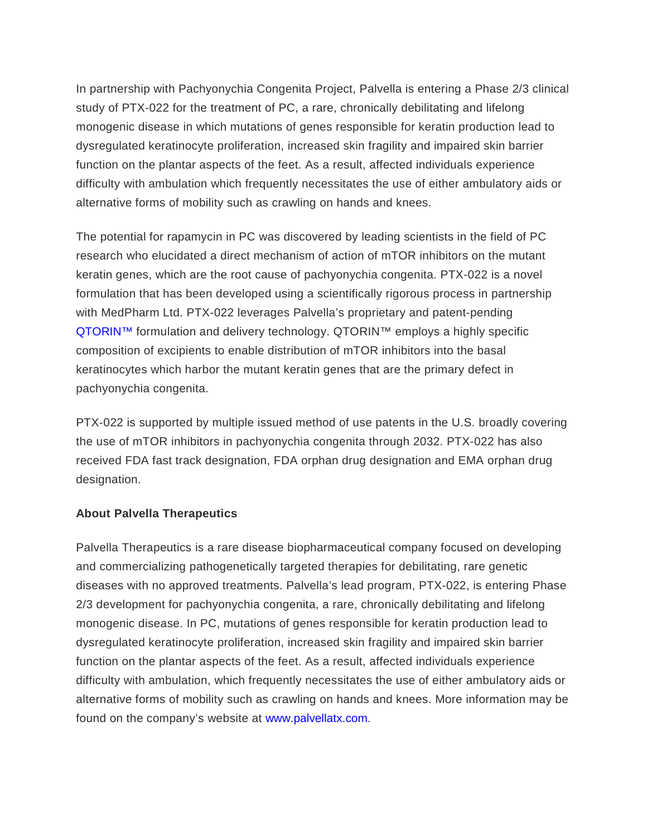In partnership with Pachyonychia Congenita Project, Palvella is entering a Phase 2/3 clinical study of PTX-022 for the treatment of PC, a rare, chronically debilitating and lifelong monogenic disease in which mutations of genes responsible for keratin production lead to dysregulated keratinocyte proliferation, increased skin fragility and impaired skin barrier function on the plantar aspects of the feet. As a result, affected individuals experience difficulty with ambulation which frequently necessitates the use of either ambulatory aids or alternative forms of mobility such as crawling on hands and knees.

The potential for rapamycin in PC was discovered by leading scientists in the field of PC research who elucidated a direct mechanism of action of mTOR inhibitors on the mutant keratin genes, which are the root cause of pachyonychia congenita. PTX-022 is a novel formulation that has been developed using a scientifically rigorous process in partnership with MedPharm Ltd. PTX-022 leverages Palvella's proprietary and patent-pending [QTORIN™](https://www.palvellatx.com/qtorin/) formulation and delivery technology. QTORIN™ employs a highly specific composition of excipients to enable distribution of mTOR inhibitors into the basal keratinocytes which harbor the mutant keratin genes that are the primary defect in pachyonychia congenita.

PTX-022 is supported by multiple issued method of use patents in the U.S. broadly covering the use of mTOR inhibitors in pachyonychia congenita through 2032. PTX-022 has also received FDA fast track designation, FDA orphan drug designation and EMA orphan drug designation.

## **About Palvella Therapeutics**

Palvella Therapeutics is a rare disease biopharmaceutical company focused on developing and commercializing pathogenetically targeted therapies for debilitating, rare genetic diseases with no approved treatments. Palvella's lead program, PTX-022, is entering Phase 2/3 development for pachyonychia congenita, a rare, chronically debilitating and lifelong monogenic disease. In PC, mutations of genes responsible for keratin production lead to dysregulated keratinocyte proliferation, increased skin fragility and impaired skin barrier function on the plantar aspects of the feet. As a result, affected individuals experience difficulty with ambulation, which frequently necessitates the use of either ambulatory aids or alternative forms of mobility such as crawling on hands and knees. More information may be found on the company's website at [www.palvellatx.com.](http://www.palvellatx.com/)